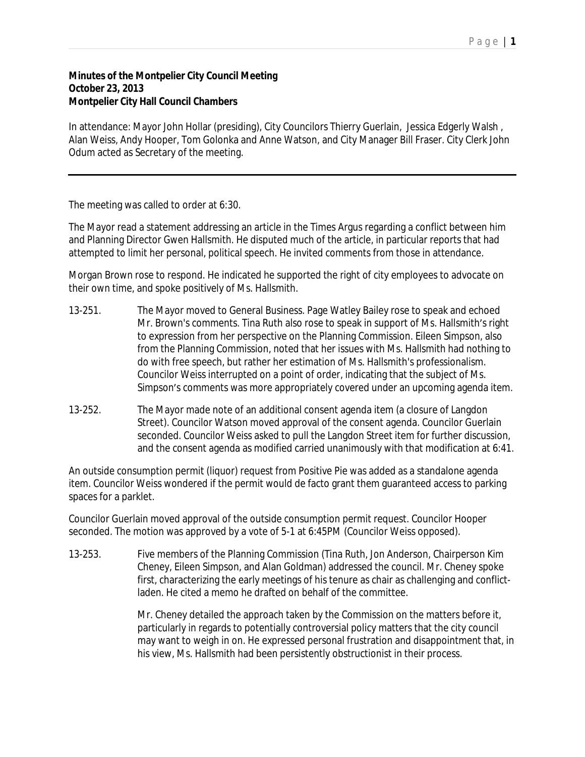## P a g e | **1**

## **Minutes of the Montpelier City Council Meeting October 23, 2013 Montpelier City Hall Council Chambers**

In attendance: Mayor John Hollar (presiding), City Councilors Thierry Guerlain, Jessica Edgerly Walsh , Alan Weiss, Andy Hooper, Tom Golonka and Anne Watson, and City Manager Bill Fraser. City Clerk John Odum acted as Secretary of the meeting.

The meeting was called to order at 6:30.

The Mayor read a statement addressing an article in the Times Argus regarding a conflict between him and Planning Director Gwen Hallsmith. He disputed much of the article, in particular reports that had attempted to limit her personal, political speech. He invited comments from those in attendance.

Morgan Brown rose to respond. He indicated he supported the right of city employees to advocate on their own time, and spoke positively of Ms. Hallsmith.

- 13-251. The Mayor moved to General Business. Page Watley Bailey rose to speak and echoed Mr. Brown's comments. Tina Ruth also rose to speak in support of Ms. Hallsmith's right to expression from her perspective on the Planning Commission. Eileen Simpson, also from the Planning Commission, noted that her issues with Ms. Hallsmith had nothing to do with free speech, but rather her estimation of Ms. Hallsmith's professionalism. Councilor Weiss interrupted on a point of order, indicating that the subject of Ms. Simpson's comments was more appropriately covered under an upcoming agenda item.
- 13-252. The Mayor made note of an additional consent agenda item (a closure of Langdon Street). Councilor Watson moved approval of the consent agenda. Councilor Guerlain seconded. Councilor Weiss asked to pull the Langdon Street item for further discussion, and the consent agenda as modified carried unanimously with that modification at 6:41.

An outside consumption permit (liquor) request from Positive Pie was added as a standalone agenda item. Councilor Weiss wondered if the permit would de facto grant them guaranteed access to parking spaces for a parklet.

Councilor Guerlain moved approval of the outside consumption permit request. Councilor Hooper seconded. The motion was approved by a vote of 5-1 at 6:45PM (Councilor Weiss opposed).

13-253. Five members of the Planning Commission (Tina Ruth, Jon Anderson, Chairperson Kim Cheney, Eileen Simpson, and Alan Goldman) addressed the council. Mr. Cheney spoke first, characterizing the early meetings of his tenure as chair as challenging and conflictladen. He cited a memo he drafted on behalf of the committee.

> Mr. Cheney detailed the approach taken by the Commission on the matters before it, particularly in regards to potentially controversial policy matters that the city council may want to weigh in on. He expressed personal frustration and disappointment that, in his view, Ms. Hallsmith had been persistently obstructionist in their process.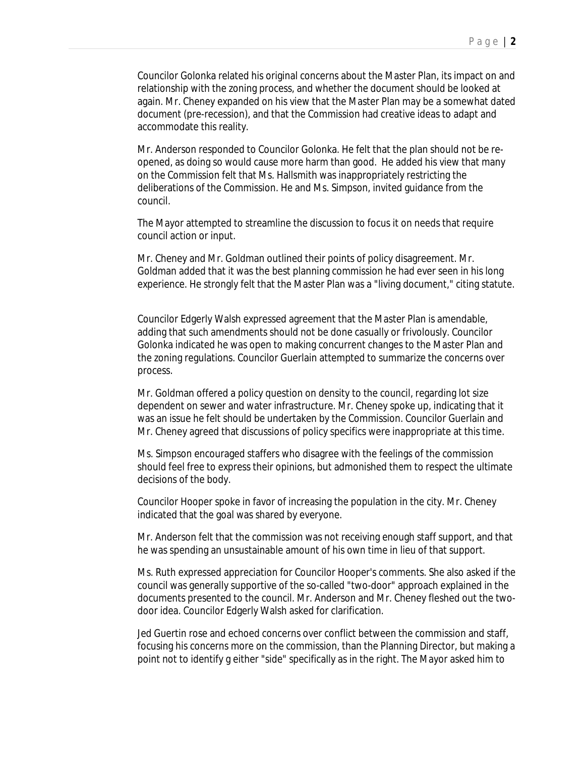Councilor Golonka related his original concerns about the Master Plan, its impact on and relationship with the zoning process, and whether the document should be looked at again. Mr. Cheney expanded on his view that the Master Plan may be a somewhat dated document (pre-recession), and that the Commission had creative ideas to adapt and accommodate this reality.

Mr. Anderson responded to Councilor Golonka. He felt that the plan should not be reopened, as doing so would cause more harm than good. He added his view that many on the Commission felt that Ms. Hallsmith was inappropriately restricting the deliberations of the Commission. He and Ms. Simpson, invited guidance from the council.

The Mayor attempted to streamline the discussion to focus it on needs that require council action or input.

Mr. Cheney and Mr. Goldman outlined their points of policy disagreement. Mr. Goldman added that it was the best planning commission he had ever seen in his long experience. He strongly felt that the Master Plan was a "living document," citing statute.

Councilor Edgerly Walsh expressed agreement that the Master Plan is amendable, adding that such amendments should not be done casually or frivolously. Councilor Golonka indicated he was open to making concurrent changes to the Master Plan and the zoning regulations. Councilor Guerlain attempted to summarize the concerns over process.

Mr. Goldman offered a policy question on density to the council, regarding lot size dependent on sewer and water infrastructure. Mr. Cheney spoke up, indicating that it was an issue he felt should be undertaken by the Commission. Councilor Guerlain and Mr. Cheney agreed that discussions of policy specifics were inappropriate at this time.

Ms. Simpson encouraged staffers who disagree with the feelings of the commission should feel free to express their opinions, but admonished them to respect the ultimate decisions of the body.

Councilor Hooper spoke in favor of increasing the population in the city. Mr. Cheney indicated that the goal was shared by everyone.

Mr. Anderson felt that the commission was not receiving enough staff support, and that he was spending an unsustainable amount of his own time in lieu of that support.

Ms. Ruth expressed appreciation for Councilor Hooper's comments. She also asked if the council was generally supportive of the so-called "two-door" approach explained in the documents presented to the council. Mr. Anderson and Mr. Cheney fleshed out the twodoor idea. Councilor Edgerly Walsh asked for clarification.

Jed Guertin rose and echoed concerns over conflict between the commission and staff, focusing his concerns more on the commission, than the Planning Director, but making a point not to identify g either "side" specifically as in the right. The Mayor asked him to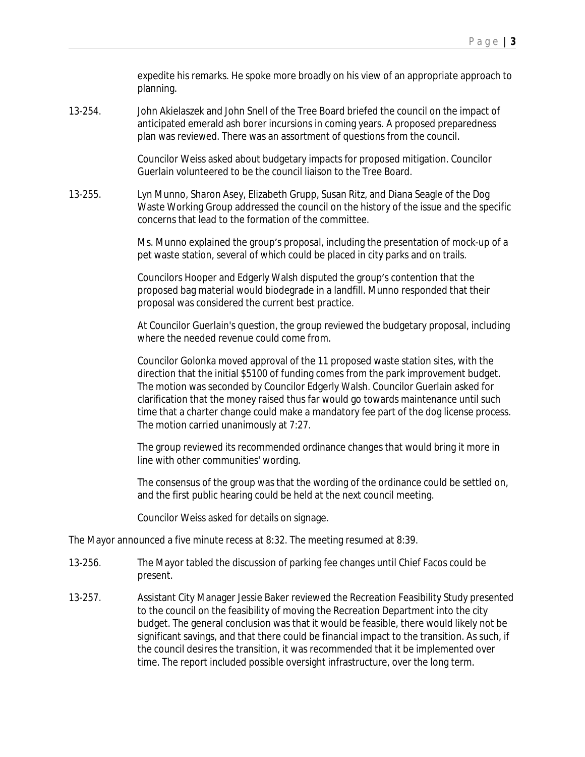expedite his remarks. He spoke more broadly on his view of an appropriate approach to planning.

13-254. John Akielaszek and John Snell of the Tree Board briefed the council on the impact of anticipated emerald ash borer incursions in coming years. A proposed preparedness plan was reviewed. There was an assortment of questions from the council.

> Councilor Weiss asked about budgetary impacts for proposed mitigation. Councilor Guerlain volunteered to be the council liaison to the Tree Board.

13-255. Lyn Munno, Sharon Asey, Elizabeth Grupp, Susan Ritz, and Diana Seagle of the Dog Waste Working Group addressed the council on the history of the issue and the specific concerns that lead to the formation of the committee.

> Ms. Munno explained the group's proposal, including the presentation of mock-up of a pet waste station, several of which could be placed in city parks and on trails.

Councilors Hooper and Edgerly Walsh disputed the group's contention that the proposed bag material would biodegrade in a landfill. Munno responded that their proposal was considered the current best practice.

At Councilor Guerlain's question, the group reviewed the budgetary proposal, including where the needed revenue could come from.

Councilor Golonka moved approval of the 11 proposed waste station sites, with the direction that the initial \$5100 of funding comes from the park improvement budget. The motion was seconded by Councilor Edgerly Walsh. Councilor Guerlain asked for clarification that the money raised thus far would go towards maintenance until such time that a charter change could make a mandatory fee part of the dog license process. The motion carried unanimously at 7:27.

The group reviewed its recommended ordinance changes that would bring it more in line with other communities' wording.

The consensus of the group was that the wording of the ordinance could be settled on, and the first public hearing could be held at the next council meeting.

Councilor Weiss asked for details on signage.

The Mayor announced a five minute recess at 8:32. The meeting resumed at 8:39.

- 13-256. The Mayor tabled the discussion of parking fee changes until Chief Facos could be present.
- 13-257. Assistant City Manager Jessie Baker reviewed the Recreation Feasibility Study presented to the council on the feasibility of moving the Recreation Department into the city budget. The general conclusion was that it would be feasible, there would likely not be significant savings, and that there could be financial impact to the transition. As such, if the council desires the transition, it was recommended that it be implemented over time. The report included possible oversight infrastructure, over the long term.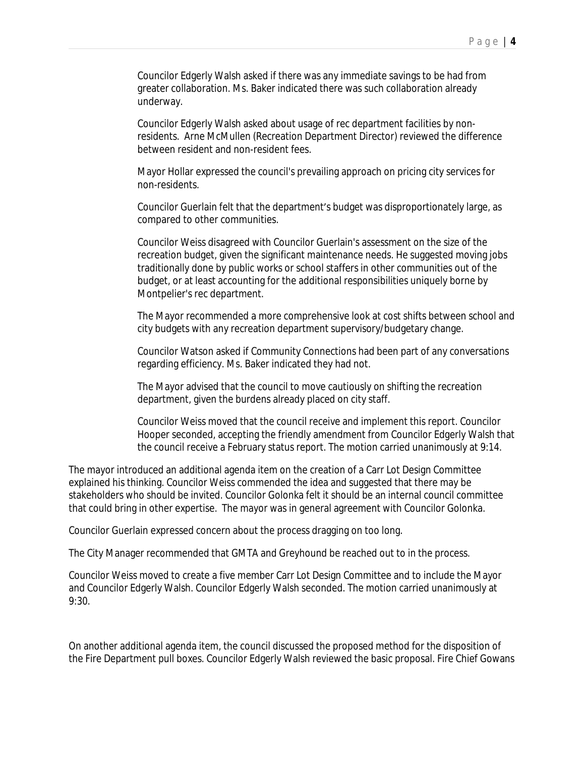Councilor Edgerly Walsh asked if there was any immediate savings to be had from greater collaboration. Ms. Baker indicated there was such collaboration already underway.

Councilor Edgerly Walsh asked about usage of rec department facilities by nonresidents. Arne McMullen (Recreation Department Director) reviewed the difference between resident and non-resident fees.

Mayor Hollar expressed the council's prevailing approach on pricing city services for non-residents.

Councilor Guerlain felt that the department's budget was disproportionately large, as compared to other communities.

Councilor Weiss disagreed with Councilor Guerlain's assessment on the size of the recreation budget, given the significant maintenance needs. He suggested moving jobs traditionally done by public works or school staffers in other communities out of the budget, or at least accounting for the additional responsibilities uniquely borne by Montpelier's rec department.

The Mayor recommended a more comprehensive look at cost shifts between school and city budgets with any recreation department supervisory/budgetary change.

Councilor Watson asked if Community Connections had been part of any conversations regarding efficiency. Ms. Baker indicated they had not.

The Mayor advised that the council to move cautiously on shifting the recreation department, given the burdens already placed on city staff.

Councilor Weiss moved that the council receive and implement this report. Councilor Hooper seconded, accepting the friendly amendment from Councilor Edgerly Walsh that the council receive a February status report. The motion carried unanimously at 9:14.

The mayor introduced an additional agenda item on the creation of a Carr Lot Design Committee explained his thinking. Councilor Weiss commended the idea and suggested that there may be stakeholders who should be invited. Councilor Golonka felt it should be an internal council committee that could bring in other expertise. The mayor was in general agreement with Councilor Golonka.

Councilor Guerlain expressed concern about the process dragging on too long.

The City Manager recommended that GMTA and Greyhound be reached out to in the process.

Councilor Weiss moved to create a five member Carr Lot Design Committee and to include the Mayor and Councilor Edgerly Walsh. Councilor Edgerly Walsh seconded. The motion carried unanimously at 9:30.

On another additional agenda item, the council discussed the proposed method for the disposition of the Fire Department pull boxes. Councilor Edgerly Walsh reviewed the basic proposal. Fire Chief Gowans